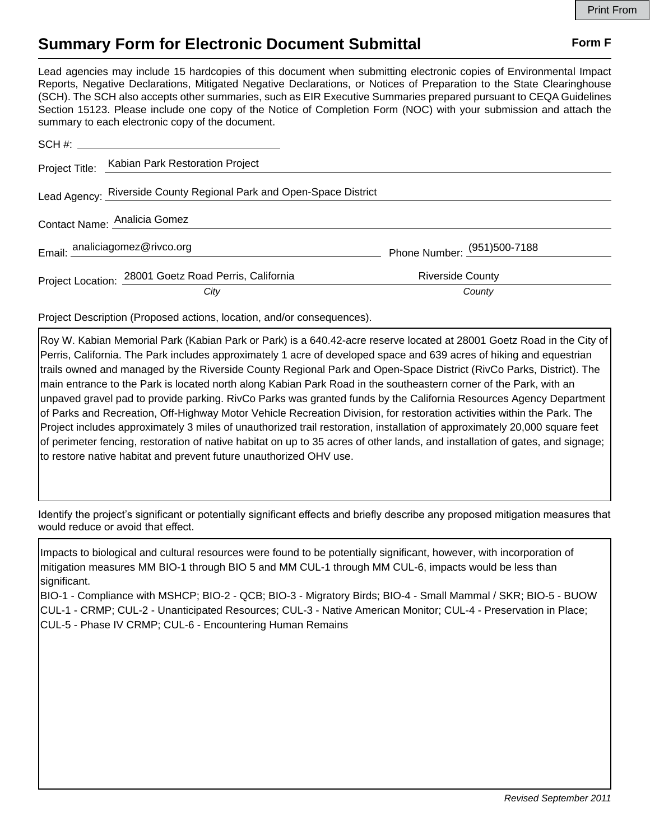## **Summary Form for Electronic Document Submittal Form F Form F**

Lead agencies may include 15 hardcopies of this document when submitting electronic copies of Environmental Impact Reports, Negative Declarations, Mitigated Negative Declarations, or Notices of Preparation to the State Clearinghouse (SCH). The SCH also accepts other summaries, such as EIR Executive Summaries prepared pursuant to CEQA Guidelines Section 15123. Please include one copy of the Notice of Completion Form (NOC) with your submission and attach the summary to each electronic copy of the document.

|                              | Project Title: Kabian Park Restoration Project                      |                             |
|------------------------------|---------------------------------------------------------------------|-----------------------------|
|                              | Lead Agency: Riverside County Regional Park and Open-Space District |                             |
| Contact Name: Analicia Gomez |                                                                     |                             |
|                              | Email: analiciagomez@rivco.org                                      | Phone Number: (951)500-7188 |
|                              | Project Location: 28001 Goetz Road Perris, California               | <b>Riverside County</b>     |
|                              | City                                                                | County                      |

Project Description (Proposed actions, location, and/or consequences).

Roy W. Kabian Memorial Park (Kabian Park or Park) is a 640.42-acre reserve located at 28001 Goetz Road in the City of Perris, California. The Park includes approximately 1 acre of developed space and 639 acres of hiking and equestrian trails owned and managed by the Riverside County Regional Park and Open-Space District (RivCo Parks, District). The main entrance to the Park is located north along Kabian Park Road in the southeastern corner of the Park, with an unpaved gravel pad to provide parking. RivCo Parks was granted funds by the California Resources Agency Department of Parks and Recreation, Off-Highway Motor Vehicle Recreation Division, for restoration activities within the Park. The Project includes approximately 3 miles of unauthorized trail restoration, installation of approximately 20,000 square feet of perimeter fencing, restoration of native habitat on up to 35 acres of other lands, and installation of gates, and signage; to restore native habitat and prevent future unauthorized OHV use.

Identify the project's significant or potentially significant effects and briefly describe any proposed mitigation measures that would reduce or avoid that effect.

Impacts to biological and cultural resources were found to be potentially significant, however, with incorporation of mitigation measures MM BIO-1 through BIO 5 and MM CUL-1 through MM CUL-6, impacts would be less than significant.

BIO-1 - Compliance with MSHCP; BIO-2 - QCB; BIO-3 - Migratory Birds; BIO-4 - Small Mammal / SKR; BIO-5 - BUOW CUL-1 - CRMP; CUL-2 - Unanticipated Resources; CUL-3 - Native American Monitor; CUL-4 - Preservation in Place; CUL-5 - Phase IV CRMP; CUL-6 - Encountering Human Remains